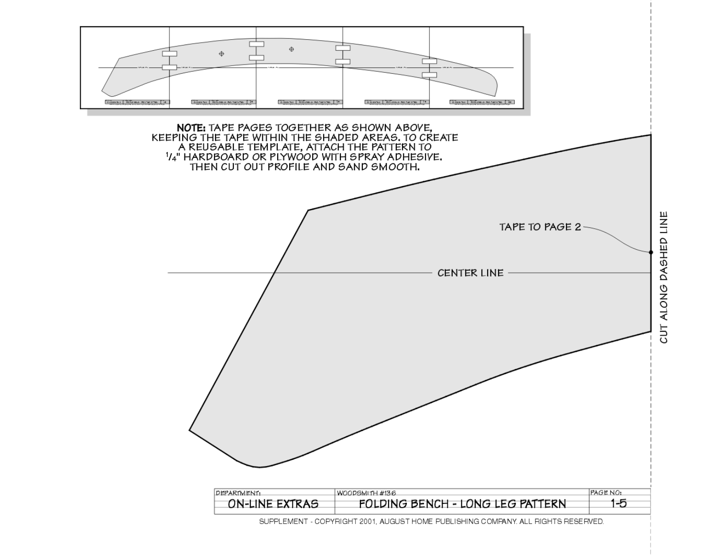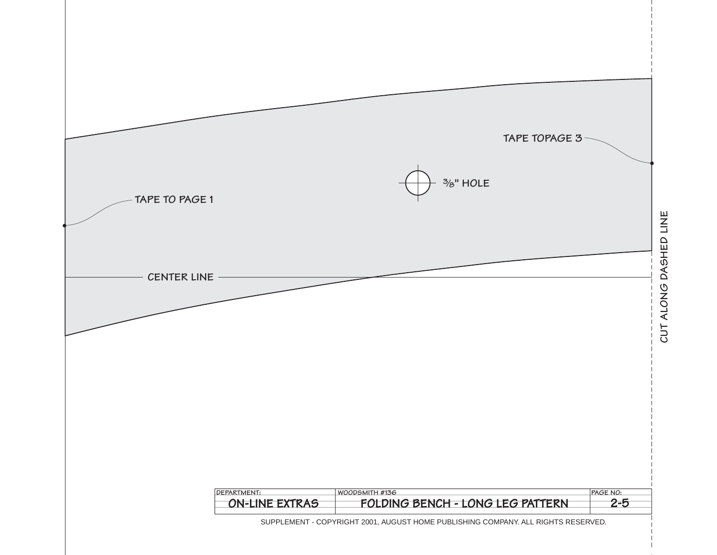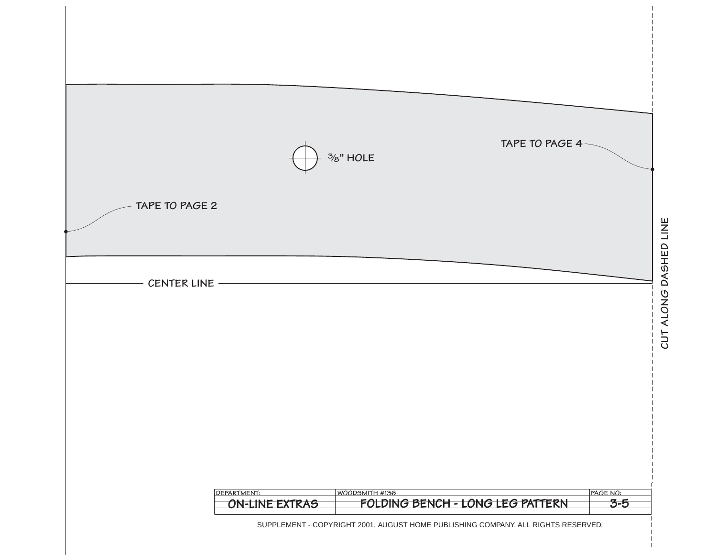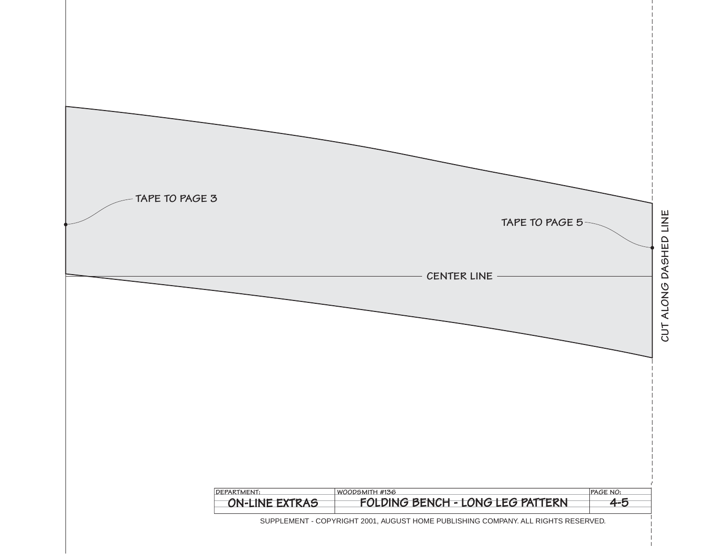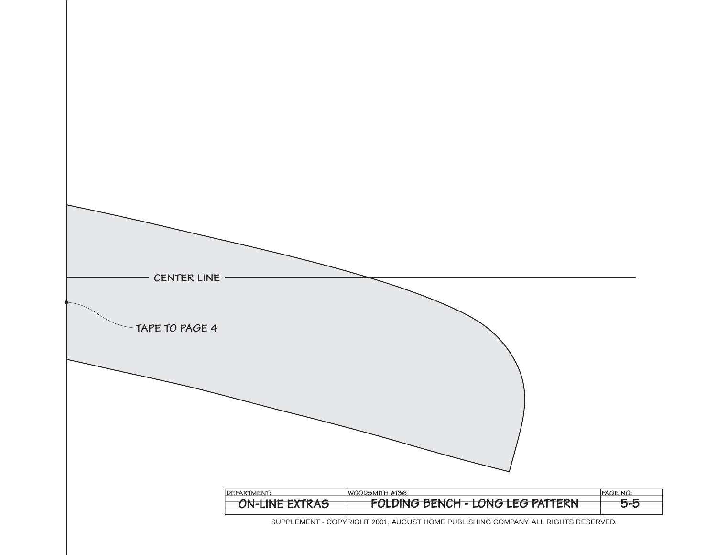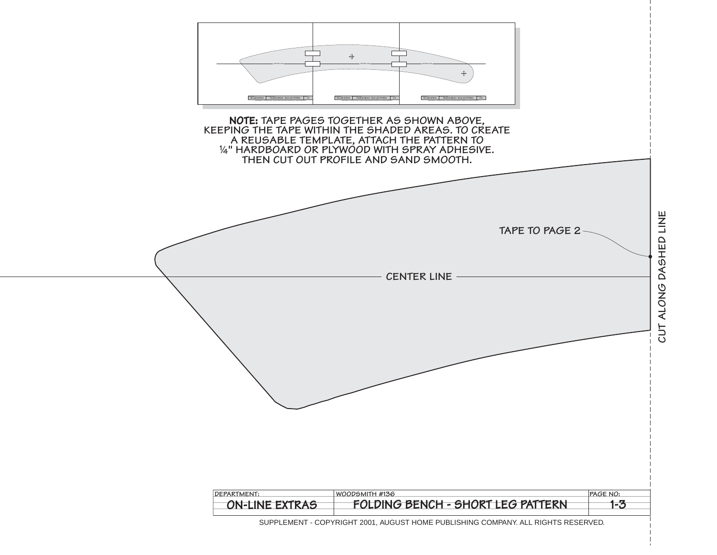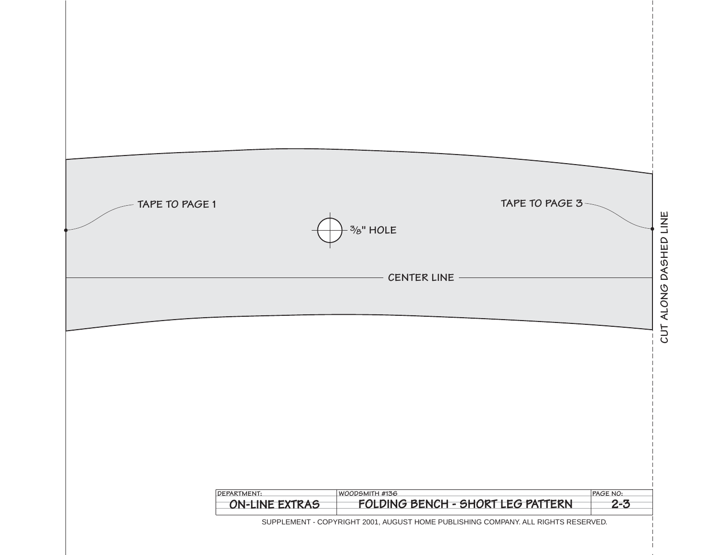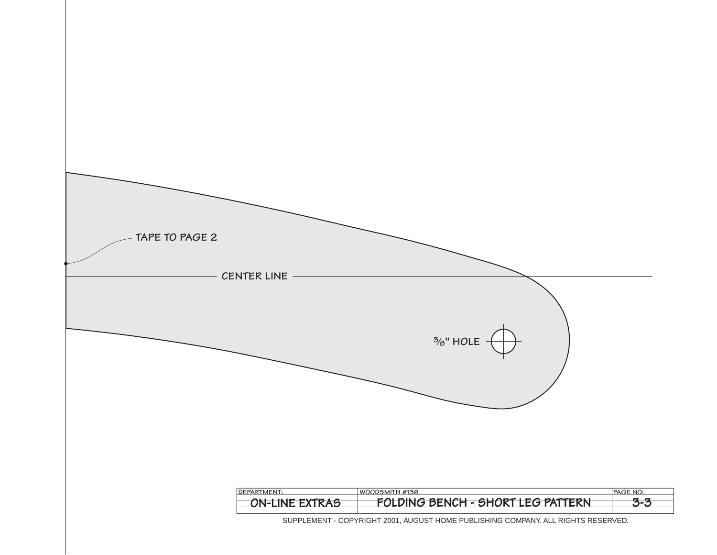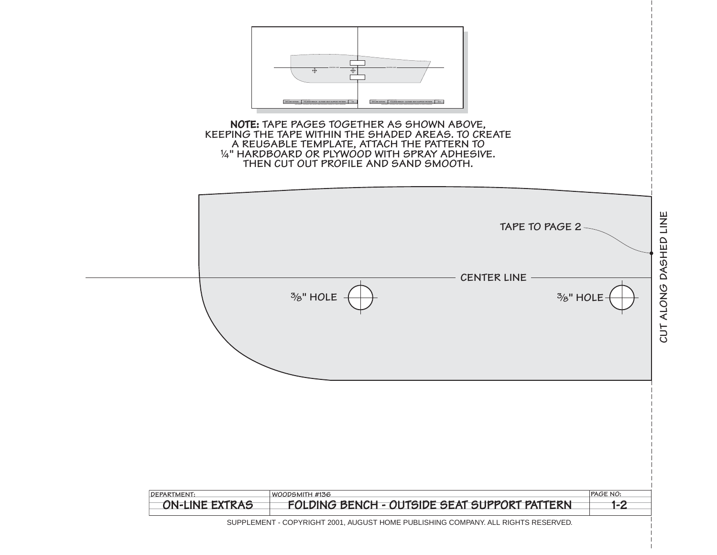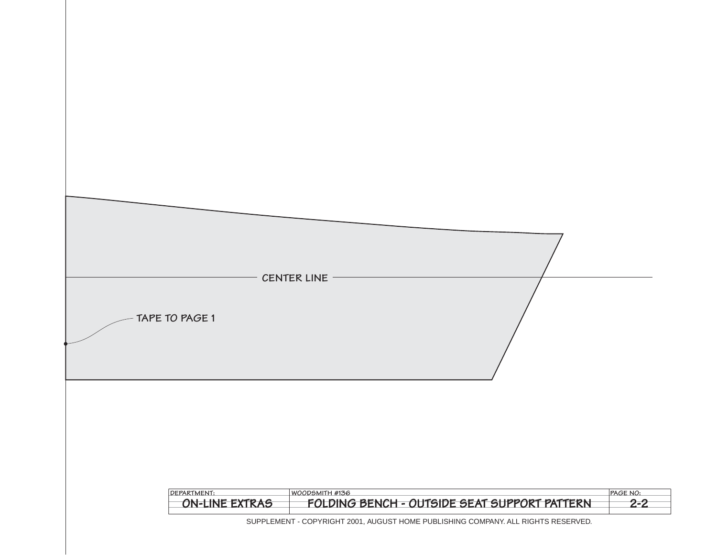| TAPE TO PAGE 1 | CENTER LINE |  |  |
|----------------|-------------|--|--|
|                |             |  |  |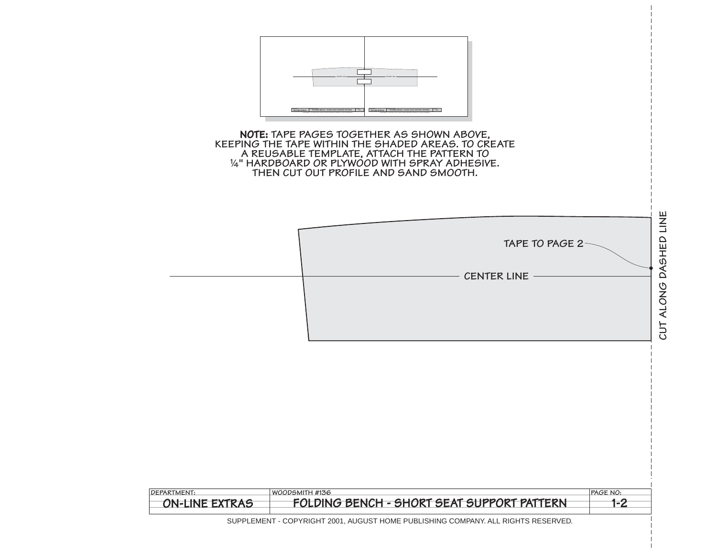